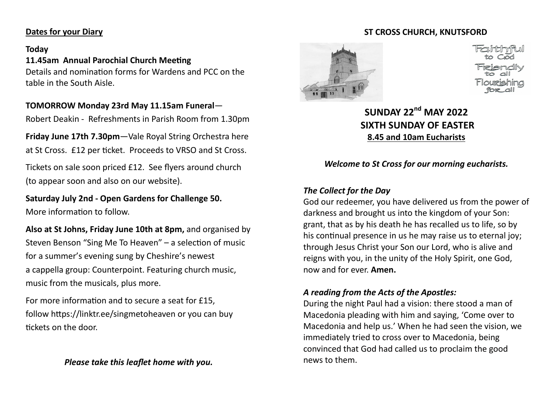#### **Dates for your Diary**

#### **Today**

## **11.45am Annual Parochial Church Meeting**

Details and nomination forms for Wardens and PCC on the table in the South Aisle.

#### **TOMORROW Monday 23rd May 11.15am Funeral**—

Robert Deakin - Refreshments in Parish Room from 1.30pm

**Friday June 17th 7.30pm**—Vale Royal String Orchestra here at St Cross. £12 per ticket. Proceeds to VRSO and St Cross.

Tickets on sale soon priced £12. See flyers around church (to appear soon and also on our website).

**Saturday July 2nd - Open Gardens for Challenge 50.**  More information to follow.

**Also at St Johns, Friday June 10th at 8pm,** and organised by Steven Benson "Sing Me To Heaven" – a selection of music for a summer's evening sung by Cheshire's newest a cappella group: Counterpoint. Featuring church music, music from the musicals, plus more.

For more information and to secure a seat for £15, follow https://linktr.ee/singmetoheaven or you can buy tickets on the door.

# **ST CROSS CHURCH, KNUTSFORD**



# **SUNDAY 22nd MAY 2022 SIXTH SUNDAY OF EASTER 8.45 and 10am Eucharists**

*Welcome to St Cross for our morning eucharists.* 

## *The Collect for the Day*

God our redeemer, you have delivered us from the power of darkness and brought us into the kingdom of your Son: grant, that as by his death he has recalled us to life, so by his continual presence in us he may raise us to eternal joy; through Jesus Christ your Son our Lord, who is alive and reigns with you, in the unity of the Holy Spirit, one God, now and for ever. **Amen.** 

### *A reading from the Acts of the Apostles:*

During the night Paul had a vision: there stood a man of Macedonia pleading with him and saying, 'Come over to Macedonia and help us.' When he had seen the vision, we immediately tried to cross over to Macedonia, being convinced that God had called us to proclaim the good news to them.